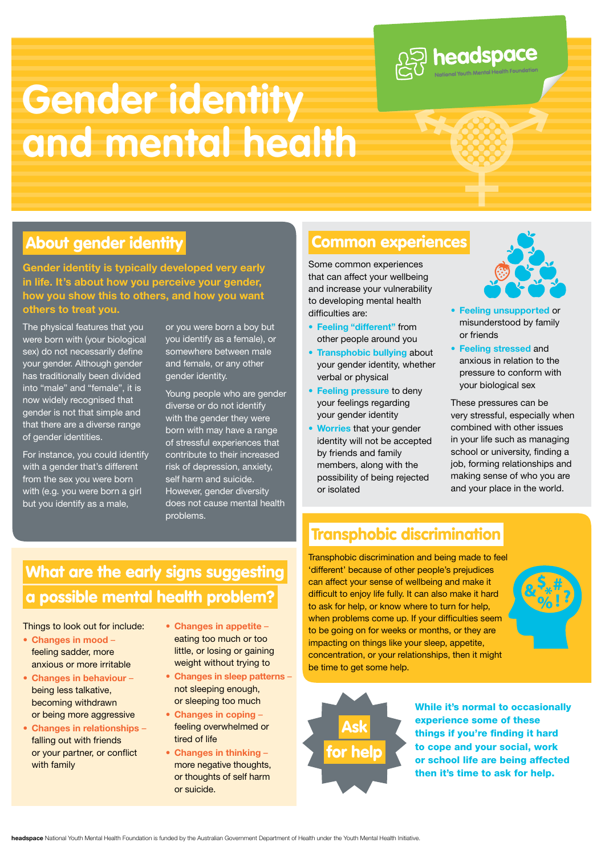

# **Gender identity and mental health**

### About gender identity **Common experiences**

**Gender identity is typically developed very early in life. It's about how you perceive your gender, how you show this to others, and how you want others to treat you.** 

The physical features that you were born with (your biological sex) do not necessarily define your gender. Although gender has traditionally been divided into "male" and "female", it is now widely recognised that gender is not that simple and that there are a diverse range of gender identities.

For instance, you could identify with a gender that's different from the sex you were born with (e.g. you were born a girl but you identify as a male,

or you were born a boy but you identify as a female), or somewhere between male and female, or any other gender identity.

Young people who are gender diverse or do not identify with the gender they were born with may have a range of stressful experiences that contribute to their increased risk of depression, anxiety, self harm and suicide. However, gender diversity does not cause mental health problems.

Some common experiences that can affect your wellbeing and increase your vulnerability to developing mental health difficulties are:

- **• Feeling "different"** from other people around you
- **• Transphobic bullying** about your gender identity, whether verbal or physical
- **• Feeling pressure** to deny your feelings regarding your gender identity
- **• Worries** that your gender identity will not be accepted by friends and family members, along with the possibility of being rejected or isolated



- **• Feeling unsupported** or misunderstood by family or friends
- **• Feeling stressed** and anxious in relation to the pressure to conform with your biological sex

These pressures can be very stressful, especially when combined with other issues in your life such as managing school or university, finding a job, forming relationships and making sense of who you are and your place in the world.

# Transphobic discrimination

What are the early signs suggesting a possible mental health problem?

Things to look out for include:

- **Changes in mood** feeling sadder, more anxious or more irritable
- **Changes in behaviour** being less talkative, becoming withdrawn or being more aggressive
- **Changes in relationships** falling out with friends or your partner, or conflict with family
- **Changes in appetite** eating too much or too little, or losing or gaining weight without trying to
- **Changes in sleep patterns** not sleeping enough, or sleeping too much
- **Changes in coping** feeling overwhelmed or tired of life
- **Changes in thinking** more negative thoughts, or thoughts of self harm or suicide.

Transphobic discrimination and being made to feel 'different' because of other people's prejudices can affect your sense of wellbeing and make it difficult to enjoy life fully. It can also make it hard to ask for help, or know where to turn for help, when problems come up. If your difficulties seem to be going on for weeks or months, or they are impacting on things like your sleep, appetite, concentration, or your relationships, then it might be time to get some help.





While it's normal to occasionally experience some of these things if you're finding it hard to cope and your social, work or school life are being affected then it's time to ask for help.